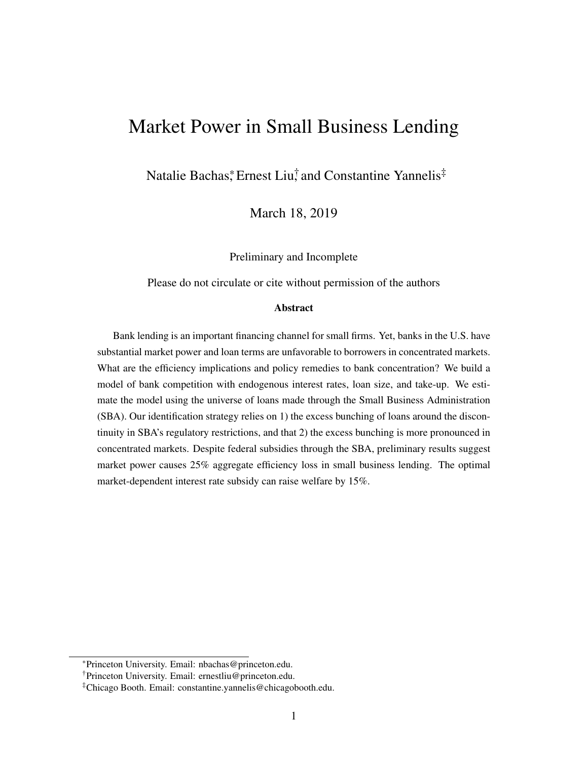# Market Power in Small Business Lending

Natalie Bachas,\* Ernest Liu,† and Constantine Yannelis<sup>‡</sup>

March 18, 2019

Preliminary and Incomplete

Please do not circulate or cite without permission of the authors

#### **Abstract**

Bank lending is an important financing channel for small firms. Yet, banks in the U.S. have substantial market power and loan terms are unfavorable to borrowers in concentrated markets. What are the efficiency implications and policy remedies to bank concentration? We build a model of bank competition with endogenous interest rates, loan size, and take-up. We estimate the model using the universe of loans made through the Small Business Administration (SBA). Our identification strategy relies on 1) the excess bunching of loans around the discontinuity in SBA's regulatory restrictions, and that 2) the excess bunching is more pronounced in concentrated markets. Despite federal subsidies through the SBA, preliminary results suggest market power causes 25% aggregate efficiency loss in small business lending. The optimal market-dependent interest rate subsidy can raise welfare by 15%.

<sup>\*</sup>Princeton University. Email: nbachas@princeton.edu.

<sup>†</sup>Princeton University. Email: ernestliu@princeton.edu.

<sup>‡</sup>Chicago Booth. Email: constantine.yannelis@chicagobooth.edu.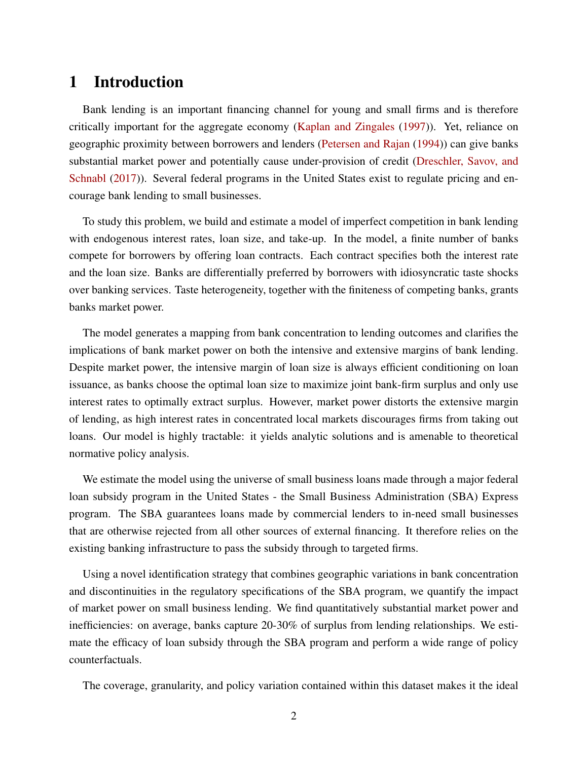### 1 Introduction

Bank lending is an important financing channel for young and small firms and is therefore critically important for the aggregate economy [\(Kaplan and Zingales](#page-26-0) [\(1997\)](#page-26-0)). Yet, reliance on geographic proximity between borrowers and lenders [\(Petersen and Rajan](#page-26-1) [\(1994\)](#page-26-1)) can give banks substantial market power and potentially cause under-provision of credit [\(Dreschler, Savov, and](#page-25-0) [Schnabl](#page-25-0) [\(2017\)](#page-25-0)). Several federal programs in the United States exist to regulate pricing and encourage bank lending to small businesses.

To study this problem, we build and estimate a model of imperfect competition in bank lending with endogenous interest rates, loan size, and take-up. In the model, a finite number of banks compete for borrowers by offering loan contracts. Each contract specifies both the interest rate and the loan size. Banks are differentially preferred by borrowers with idiosyncratic taste shocks over banking services. Taste heterogeneity, together with the finiteness of competing banks, grants banks market power.

The model generates a mapping from bank concentration to lending outcomes and clarifies the implications of bank market power on both the intensive and extensive margins of bank lending. Despite market power, the intensive margin of loan size is always efficient conditioning on loan issuance, as banks choose the optimal loan size to maximize joint bank-firm surplus and only use interest rates to optimally extract surplus. However, market power distorts the extensive margin of lending, as high interest rates in concentrated local markets discourages firms from taking out loans. Our model is highly tractable: it yields analytic solutions and is amenable to theoretical normative policy analysis.

We estimate the model using the universe of small business loans made through a major federal loan subsidy program in the United States - the Small Business Administration (SBA) Express program. The SBA guarantees loans made by commercial lenders to in-need small businesses that are otherwise rejected from all other sources of external financing. It therefore relies on the existing banking infrastructure to pass the subsidy through to targeted firms.

Using a novel identification strategy that combines geographic variations in bank concentration and discontinuities in the regulatory specifications of the SBA program, we quantify the impact of market power on small business lending. We find quantitatively substantial market power and inefficiencies: on average, banks capture 20-30% of surplus from lending relationships. We estimate the efficacy of loan subsidy through the SBA program and perform a wide range of policy counterfactuals.

The coverage, granularity, and policy variation contained within this dataset makes it the ideal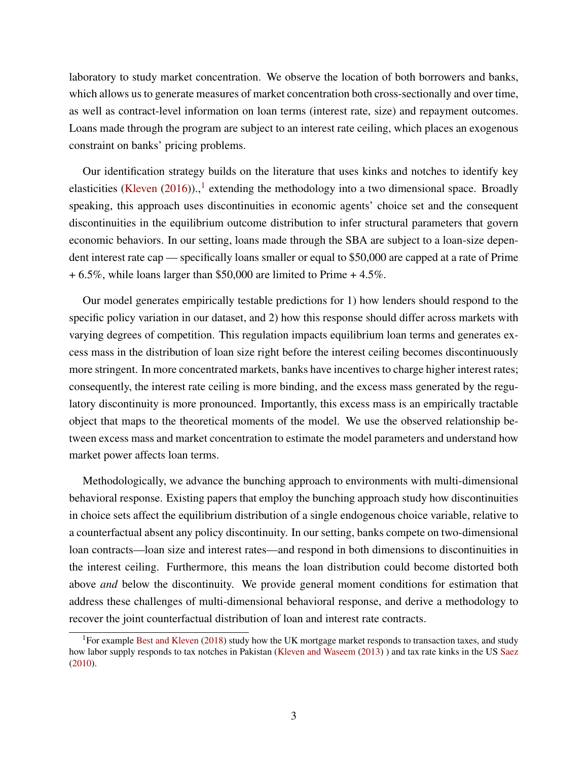laboratory to study market concentration. We observe the location of both borrowers and banks, which allows us to generate measures of market concentration both cross-sectionally and over time, as well as contract-level information on loan terms (interest rate, size) and repayment outcomes. Loans made through the program are subject to an interest rate ceiling, which places an exogenous constraint on banks' pricing problems.

Our identification strategy builds on the literature that uses kinks and notches to identify key elasticities [\(Kleven](#page-26-2)  $(2016)$ ).,<sup>[1](#page-2-0)</sup> extending the methodology into a two dimensional space. Broadly speaking, this approach uses discontinuities in economic agents' choice set and the consequent discontinuities in the equilibrium outcome distribution to infer structural parameters that govern economic behaviors. In our setting, loans made through the SBA are subject to a loan-size dependent interest rate cap — specifically loans smaller or equal to \$50,000 are capped at a rate of Prime  $+ 6.5\%$ , while loans larger than \$50,000 are limited to Prime  $+ 4.5\%$ .

Our model generates empirically testable predictions for 1) how lenders should respond to the specific policy variation in our dataset, and 2) how this response should differ across markets with varying degrees of competition. This regulation impacts equilibrium loan terms and generates excess mass in the distribution of loan size right before the interest ceiling becomes discontinuously more stringent. In more concentrated markets, banks have incentives to charge higher interest rates; consequently, the interest rate ceiling is more binding, and the excess mass generated by the regulatory discontinuity is more pronounced. Importantly, this excess mass is an empirically tractable object that maps to the theoretical moments of the model. We use the observed relationship between excess mass and market concentration to estimate the model parameters and understand how market power affects loan terms.

Methodologically, we advance the bunching approach to environments with multi-dimensional behavioral response. Existing papers that employ the bunching approach study how discontinuities in choice sets affect the equilibrium distribution of a single endogenous choice variable, relative to a counterfactual absent any policy discontinuity. In our setting, banks compete on two-dimensional loan contracts—loan size and interest rates—and respond in both dimensions to discontinuities in the interest ceiling. Furthermore, this means the loan distribution could become distorted both above *and* below the discontinuity. We provide general moment conditions for estimation that address these challenges of multi-dimensional behavioral response, and derive a methodology to recover the joint counterfactual distribution of loan and interest rate contracts.

<span id="page-2-0"></span><sup>&</sup>lt;sup>1</sup>For example [Best and Kleven](#page-25-1) [\(2018\)](#page-25-1) study how the UK mortgage market responds to transaction taxes, and study how labor supply responds to tax notches in Pakistan [\(Kleven and Waseem](#page-26-3) [\(2013\)](#page-26-3) ) and tax rate kinks in the US [Saez](#page-26-4) [\(2010\)](#page-26-4).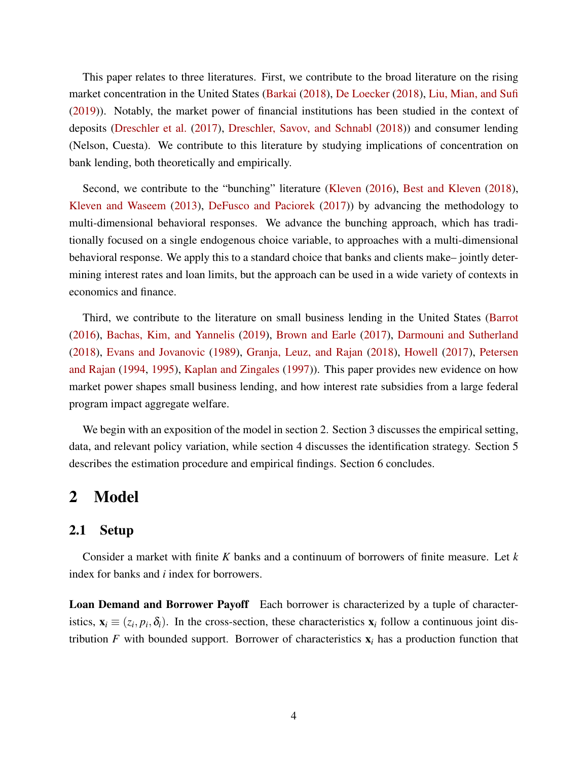This paper relates to three literatures. First, we contribute to the broad literature on the rising market concentration in the United States [\(Barkai](#page-25-2) [\(2018\)](#page-25-2), [De Loecker](#page-25-3) [\(2018\)](#page-25-3), [Liu, Mian, and Sufi](#page-26-5) [\(2019\)](#page-26-5)). Notably, the market power of financial institutions has been studied in the context of deposits [\(Dreschler et al.](#page-25-0) [\(2017\)](#page-25-0), [Dreschler, Savov, and Schnabl](#page-25-4) [\(2018\)](#page-25-4)) and consumer lending (Nelson, Cuesta). We contribute to this literature by studying implications of concentration on bank lending, both theoretically and empirically.

Second, we contribute to the "bunching" literature [\(Kleven](#page-26-2) [\(2016\)](#page-26-2), [Best and Kleven](#page-25-1) [\(2018\)](#page-25-1), [Kleven and Waseem](#page-26-3) [\(2013\)](#page-26-3), [DeFusco and Paciorek](#page-25-5) [\(2017\)](#page-25-5)) by advancing the methodology to multi-dimensional behavioral responses. We advance the bunching approach, which has traditionally focused on a single endogenous choice variable, to approaches with a multi-dimensional behavioral response. We apply this to a standard choice that banks and clients make– jointly determining interest rates and loan limits, but the approach can be used in a wide variety of contexts in economics and finance.

Third, we contribute to the literature on small business lending in the United States [\(Barrot](#page-25-6) [\(2016\)](#page-25-6), [Bachas, Kim, and Yannelis](#page-25-7) [\(2019\)](#page-25-7), [Brown and Earle](#page-25-8) [\(2017\)](#page-25-8), [Darmouni and Sutherland](#page-25-9) [\(2018\)](#page-25-9), [Evans and Jovanovic](#page-25-10) [\(1989\)](#page-25-10), [Granja, Leuz, and Rajan](#page-25-11) [\(2018\)](#page-25-11), [Howell](#page-25-12) [\(2017\)](#page-25-12), [Petersen](#page-26-1) [and Rajan](#page-26-1) [\(1994,](#page-26-1) [1995\)](#page-26-6), [Kaplan and Zingales](#page-26-0) [\(1997\)](#page-26-0)). This paper provides new evidence on how market power shapes small business lending, and how interest rate subsidies from a large federal program impact aggregate welfare.

We begin with an exposition of the model in section 2. Section 3 discusses the empirical setting, data, and relevant policy variation, while section 4 discusses the identification strategy. Section 5 describes the estimation procedure and empirical findings. Section 6 concludes.

### 2 Model

#### 2.1 Setup

Consider a market with finite *K* banks and a continuum of borrowers of finite measure. Let *k* index for banks and *i* index for borrowers.

Loan Demand and Borrower Payoff Each borrower is characterized by a tuple of characteristics,  $\mathbf{x}_i \equiv (z_i, p_i, \delta_i)$ . In the cross-section, these characteristics  $\mathbf{x}_i$  follow a continuous joint distribution *F* with bounded support. Borrower of characteristics  $x_i$  has a production function that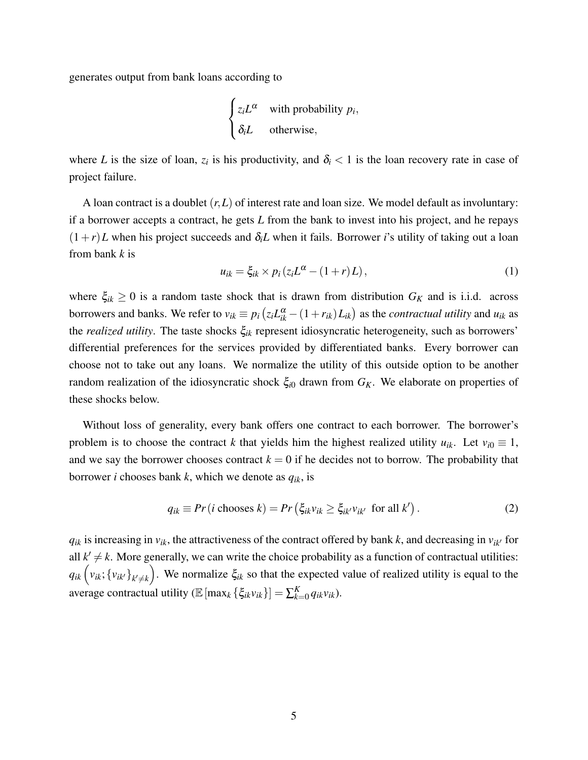generates output from bank loans according to

$$
\begin{cases} z_i L^{\alpha} & \text{with probability } p_i, \\ \delta_i L & \text{otherwise,} \end{cases}
$$

where *L* is the size of loan,  $z_i$  is his productivity, and  $\delta_i$  < 1 is the loan recovery rate in case of project failure.

A loan contract is a doublet (*r*,*L*) of interest rate and loan size. We model default as involuntary: if a borrower accepts a contract, he gets *L* from the bank to invest into his project, and he repays  $(1+r)L$  when his project succeeds and  $\delta_i L$  when it fails. Borrower *i*'s utility of taking out a loan from bank *k* is

$$
u_{ik} = \xi_{ik} \times p_i \left( z_i L^{\alpha} - (1+r)L \right),\tag{1}
$$

where  $\xi_{ik} \geq 0$  is a random taste shock that is drawn from distribution  $G_K$  and is i.i.d. across borrowers and banks. We refer to  $v_{ik} \equiv p_i (z_i L_{ik}^\alpha - (1+r_{ik}) L_{ik})$  as the *contractual utility* and  $u_{ik}$  as the *realized utility*. The taste shocks ξ*ik* represent idiosyncratic heterogeneity, such as borrowers' differential preferences for the services provided by differentiated banks. Every borrower can choose not to take out any loans. We normalize the utility of this outside option to be another random realization of the idiosyncratic shock  $\xi_{i0}$  drawn from  $G_K$ . We elaborate on properties of these shocks below.

Without loss of generality, every bank offers one contract to each borrower. The borrower's problem is to choose the contract *k* that yields him the highest realized utility  $u_{ik}$ . Let  $v_{i0} \equiv 1$ , and we say the borrower chooses contract  $k = 0$  if he decides not to borrow. The probability that borrower *i* chooses bank *k*, which we denote as *qik*, is

<span id="page-4-0"></span>
$$
q_{ik} \equiv Pr(i \text{ chooses } k) = Pr\left(\xi_{ik} v_{ik} \ge \xi_{ik'} v_{ik'} \text{ for all } k'\right). \tag{2}
$$

 $q_{ik}$  is increasing in  $v_{ik}$ , the attractiveness of the contract offered by bank k, and decreasing in  $v_{ik}$  for all  $k' \neq k$ . More generally, we can write the choice probability as a function of contractual utilities:  $q_{ik} (v_{ik}; \{v_{ik'}\}_{k' \neq k})$ . We normalize  $\xi_{ik}$  so that the expected value of realized utility is equal to the average contractual utility ( $\mathbb{E}[\max_k {\{\xi_{ik}v_{ik}\}}] = \sum_{k=1}^{K}$  $\binom{K}{k=0} q_{ik}v_{ik}$ .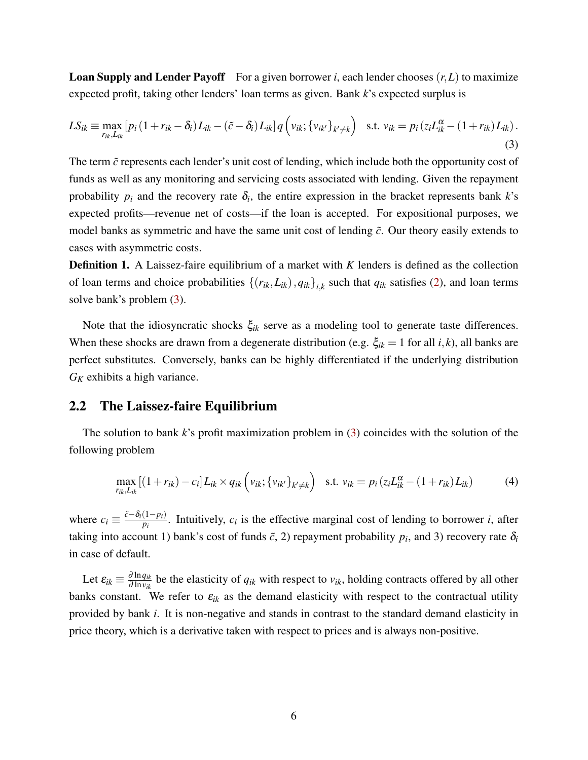**Loan Supply and Lender Payoff** For a given borrower *i*, each lender chooses  $(r, L)$  to maximize expected profit, taking other lenders' loan terms as given. Bank *k*'s expected surplus is

<span id="page-5-0"></span>
$$
LS_{ik} \equiv \max_{r_{ik},L_{ik}} \left[ p_i \left( 1 + r_{ik} - \delta_i \right) L_{ik} - \left( \tilde{c} - \delta_i \right) L_{ik} \right] q \left( v_{ik}; \{ v_{ik'} \}_{k' \neq k} \right) \quad \text{s.t. } v_{ik} = p_i \left( z_i L_{ik}^{\alpha} - \left( 1 + r_{ik} \right) L_{ik} \right). \tag{3}
$$

The term  $\tilde{c}$  represents each lender's unit cost of lending, which include both the opportunity cost of funds as well as any monitoring and servicing costs associated with lending. Given the repayment probability  $p_i$  and the recovery rate  $\delta_i$ , the entire expression in the bracket represents bank  $k$ 's expected profits—revenue net of costs—if the loan is accepted. For expositional purposes, we model banks as symmetric and have the same unit cost of lending ˜*c*. Our theory easily extends to cases with asymmetric costs.

Definition 1. A Laissez-faire equilibrium of a market with *K* lenders is defined as the collection of loan terms and choice probabilities  $\{(r_{ik}, L_{ik}), q_{ik}\}_{i,k}$  such that  $q_{ik}$  satisfies [\(2\)](#page-4-0), and loan terms solve bank's problem [\(3\)](#page-5-0).

Note that the idiosyncratic shocks  $\xi_{ik}$  serve as a modeling tool to generate taste differences. When these shocks are drawn from a degenerate distribution (e.g.  $\xi_{ik} = 1$  for all *i*, *k*), all banks are perfect substitutes. Conversely, banks can be highly differentiated if the underlying distribution *G<sup>K</sup>* exhibits a high variance.

#### 2.2 The Laissez-faire Equilibrium

The solution to bank *k*'s profit maximization problem in [\(3\)](#page-5-0) coincides with the solution of the following problem

<span id="page-5-1"></span>
$$
\max_{r_{ik},L_{ik}} [(1+r_{ik})-c_i] L_{ik} \times q_{ik} \left(v_{ik}; \{v_{ik'}\}_{k' \neq k}\right) \text{ s.t. } v_{ik} = p_i (z_i L_{ik}^{\alpha} - (1+r_{ik}) L_{ik}) \tag{4}
$$

where  $c_i \equiv \frac{\tilde{c} - \delta_i(1-p_i)}{p_i}$  $\frac{(1-p_i)}{p_i}$ . Intuitively,  $c_i$  is the effective marginal cost of lending to borrower *i*, after taking into account 1) bank's cost of funds  $\tilde{c}$ , 2) repayment probability  $p_i$ , and 3) recovery rate  $\delta_i$ in case of default.

Let  $\varepsilon_{ik} \equiv \frac{\partial \ln q_{ik}}{\partial \ln v_{ik}}$  $\frac{\partial \ln q_{ik}}{\partial \ln v_{ik}}$  be the elasticity of  $q_{ik}$  with respect to  $v_{ik}$ , holding contracts offered by all other banks constant. We refer to  $\varepsilon_{ik}$  as the demand elasticity with respect to the contractual utility provided by bank *i*. It is non-negative and stands in contrast to the standard demand elasticity in price theory, which is a derivative taken with respect to prices and is always non-positive.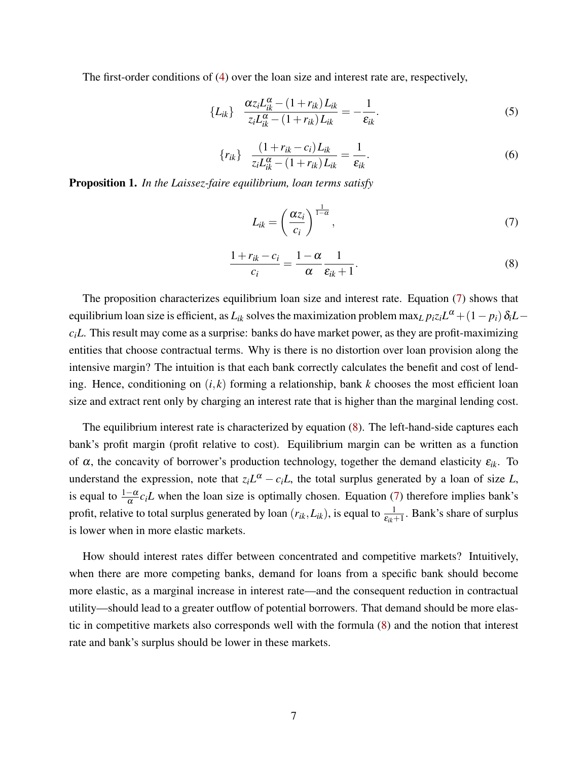The first-order conditions of [\(4\)](#page-5-1) over the loan size and interest rate are, respectively,

<span id="page-6-2"></span>
$$
\{L_{ik}\}\quad \frac{\alpha z_i L_{ik}^\alpha - (1 + r_{ik}) L_{ik}}{z_i L_{ik}^\alpha - (1 + r_{ik}) L_{ik}} = -\frac{1}{\varepsilon_{ik}}.\tag{5}
$$

<span id="page-6-3"></span>
$$
\{r_{ik}\}\quad \frac{(1+r_{ik}-c_i)L_{ik}}{z_iL_{ik}^{\alpha}-(1+r_{ik})L_{ik}}=\frac{1}{\varepsilon_{ik}}.\tag{6}
$$

Proposition 1. *In the Laissez-faire equilibrium, loan terms satisfy*

<span id="page-6-0"></span>
$$
L_{ik} = \left(\frac{\alpha z_i}{c_i}\right)^{\frac{1}{1-\alpha}},\tag{7}
$$

<span id="page-6-1"></span>
$$
\frac{1+r_{ik}-c_i}{c_i} = \frac{1-\alpha}{\alpha} \frac{1}{\varepsilon_{ik}+1}.
$$
\n(8)

The proposition characterizes equilibrium loan size and interest rate. Equation [\(7\)](#page-6-0) shows that equilibrium loan size is efficient, as  $L_{ik}$  solves the maximization problem  $\max_L p_i z_i L^\alpha + (1-p_i)\,\delta_i L$  $c<sub>i</sub>L$ . This result may come as a surprise: banks do have market power, as they are profit-maximizing entities that choose contractual terms. Why is there is no distortion over loan provision along the intensive margin? The intuition is that each bank correctly calculates the benefit and cost of lending. Hence, conditioning on  $(i, k)$  forming a relationship, bank  $k$  chooses the most efficient loan size and extract rent only by charging an interest rate that is higher than the marginal lending cost.

The equilibrium interest rate is characterized by equation [\(8\)](#page-6-1). The left-hand-side captures each bank's profit margin (profit relative to cost). Equilibrium margin can be written as a function of  $\alpha$ , the concavity of borrower's production technology, together the demand elasticity  $\varepsilon_{ik}$ . To understand the expression, note that  $z_iL^{\alpha} - c_iL$ , the total surplus generated by a loan of size *L*, is equal to  $\frac{1-\alpha}{\alpha}c_iL$  when the loan size is optimally chosen. Equation [\(7\)](#page-6-0) therefore implies bank's profit, relative to total surplus generated by loan  $(r_{ik}, L_{ik})$ , is equal to  $\frac{1}{\varepsilon_{ik}+1}$ . Bank's share of surplus is lower when in more elastic markets.

How should interest rates differ between concentrated and competitive markets? Intuitively, when there are more competing banks, demand for loans from a specific bank should become more elastic, as a marginal increase in interest rate—and the consequent reduction in contractual utility—should lead to a greater outflow of potential borrowers. That demand should be more elastic in competitive markets also corresponds well with the formula [\(8\)](#page-6-1) and the notion that interest rate and bank's surplus should be lower in these markets.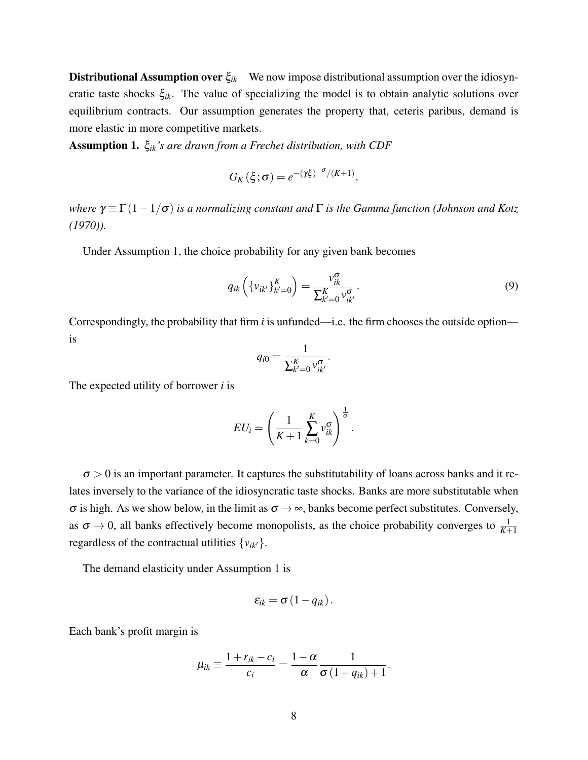Distributional Assumption over ξ*ik* We now impose distributional assumption over the idiosyncratic taste shocks ξ*ik*. The value of specializing the model is to obtain analytic solutions over equilibrium contracts. Our assumption generates the property that, ceteris paribus, demand is more elastic in more competitive markets.

<span id="page-7-0"></span>Assumption 1. ξ*ik's are drawn from a Frechet distribution, with CDF*

$$
G_K(\xi;\sigma) = e^{-(\gamma\xi)^{-\sigma}/(K+1)},
$$

*where*  $\gamma \equiv \Gamma(1-1/\sigma)$  *is a normalizing constant and*  $\Gamma$  *is the Gamma function (Johnson and Kotz (1970)).*

Under Assumption 1, the choice probability for any given bank becomes

$$
q_{ik}\left(\{v_{ik'}\}_{k'=0}^{K}\right) = \frac{v_{ik}^{\sigma}}{\sum_{k'=0}^{K} v_{ik'}^{\sigma}}.
$$
\n(9)

Correspondingly, the probability that firm *i* is unfunded—i.e. the firm chooses the outside option is

$$
q_{i0}=\frac{1}{\sum_{k'=0}^K v_{ik'}^{\sigma}}.
$$

The expected utility of borrower *i* is

$$
EU_i = \left(\frac{1}{K+1} \sum_{k=0}^{K} v_{ik}^{\sigma}\right)^{\frac{1}{\sigma}}.
$$

 $\sigma > 0$  is an important parameter. It captures the substitutability of loans across banks and it relates inversely to the variance of the idiosyncratic taste shocks. Banks are more substitutable when  $\sigma$  is high. As we show below, in the limit as  $\sigma \to \infty$ , banks become perfect substitutes. Conversely, as  $\sigma \to 0$ , all banks effectively become monopolists, as the choice probability converges to  $\frac{1}{K+1}$ regardless of the contractual utilities  $\{v_{ik}\}\$ .

The demand elasticity under Assumption [1](#page-7-0) is

$$
\varepsilon_{ik}=\sigma(1-q_{ik}).
$$

Each bank's profit margin is

$$
\mu_{ik} \equiv \frac{1 + r_{ik} - c_i}{c_i} = \frac{1 - \alpha}{\alpha} \frac{1}{\sigma (1 - q_{ik}) + 1}.
$$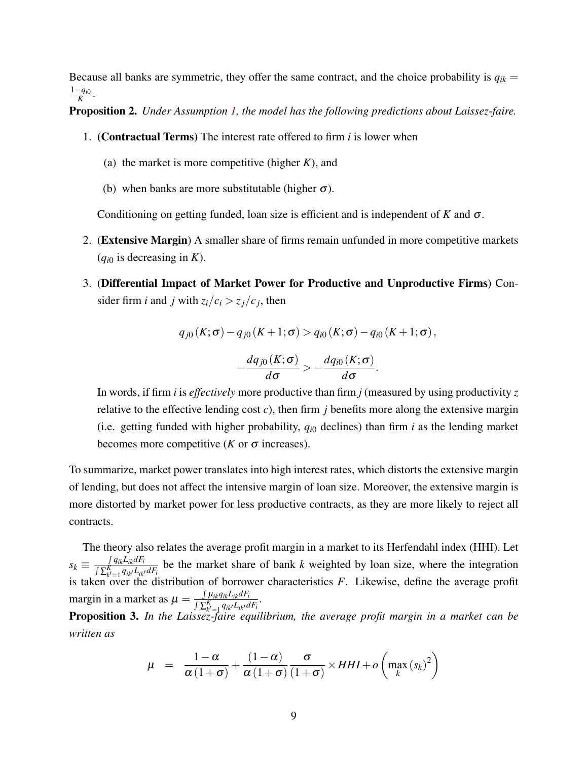Because all banks are symmetric, they offer the same contract, and the choice probability is  $q_{ik}$  = 1−*qi*<sup>0</sup> *K* .

Proposition 2. *Under Assumption [1,](#page-7-0) the model has the following predictions about Laissez-faire.*

- 1. (Contractual Terms) The interest rate offered to firm *i* is lower when
	- (a) the market is more competitive (higher *K*), and
	- (b) when banks are more substitutable (higher  $\sigma$ ).

Conditioning on getting funded, loan size is efficient and is independent of *K* and σ.

- 2. (Extensive Margin) A smaller share of firms remain unfunded in more competitive markets  $(q_{i0}$  is decreasing in *K*).
- 3. (Differential Impact of Market Power for Productive and Unproductive Firms) Consider firm *i* and *j* with  $z_i/c_i > z_j/c_j$ , then

$$
q_{j0}(K;\sigma) - q_{j0}(K+1;\sigma) > q_{i0}(K;\sigma) - q_{i0}(K+1;\sigma),
$$

$$
-\frac{dq_{j0}(K;\sigma)}{d\sigma} > -\frac{dq_{i0}(K;\sigma)}{d\sigma}.
$$

In words, if firm *i* is *effectively* more productive than firm *j* (measured by using productivity *z* relative to the effective lending cost *c*), then firm *j* benefits more along the extensive margin (i.e. getting funded with higher probability,  $q_{i0}$  declines) than firm *i* as the lending market becomes more competitive ( $K$  or  $\sigma$  increases).

To summarize, market power translates into high interest rates, which distorts the extensive margin of lending, but does not affect the intensive margin of loan size. Moreover, the extensive margin is more distorted by market power for less productive contracts, as they are more likely to reject all contracts.

The theory also relates the average profit margin in a market to its Herfendahl index (HHI). Let  $s_k \equiv \frac{\int q_{ik}L_{ik}dF_i}{\sqrt{\sum_{i=1}^{K}q_{ik}L_{ik}}}$  $\frac{\int q_{ik}L_{ik}aF_i}{\int \sum_{k'=1}^{K} q_{ik'}L_{ik'}dF_i}$  be the market share of bank *k* weighted by loan size, where the integration is taken over the distribution of borrower characteristics  $F$ . Likewise, define the average profit margin in a market as  $\mu = \frac{\int \mu_{ik}q_{ik}L_{ik}dF_{i}}{\int \sum_{k}^{K}q_{ik}L_{ik}}$  $\frac{\int \mu_{ik} q_{ik} L_{ik} a F_i}{\int \sum_{k'=1}^K q_{ik'} L_{ik'} dF_i}$ .

Proposition 3. *In the Laissez-faire equilibrium, the average profit margin in a market can be written as*

$$
\mu = \frac{1-\alpha}{\alpha(1+\sigma)} + \frac{(1-\alpha)}{\alpha(1+\sigma)} \frac{\sigma}{(1+\sigma)} \times HHI + o\left(\max_{k} (s_k)^2\right)
$$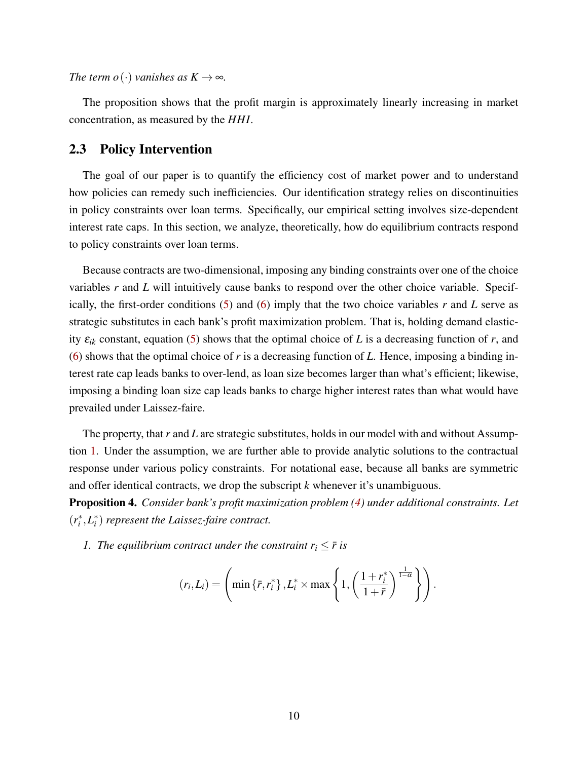*The term o*( $\cdot$ ) *vanishes as*  $K \rightarrow \infty$ *.* 

The proposition shows that the profit margin is approximately linearly increasing in market concentration, as measured by the *HHI*.

### 2.3 Policy Intervention

The goal of our paper is to quantify the efficiency cost of market power and to understand how policies can remedy such inefficiencies. Our identification strategy relies on discontinuities in policy constraints over loan terms. Specifically, our empirical setting involves size-dependent interest rate caps. In this section, we analyze, theoretically, how do equilibrium contracts respond to policy constraints over loan terms.

Because contracts are two-dimensional, imposing any binding constraints over one of the choice variables *r* and *L* will intuitively cause banks to respond over the other choice variable. Specifically, the first-order conditions  $(5)$  and  $(6)$  imply that the two choice variables r and L serve as strategic substitutes in each bank's profit maximization problem. That is, holding demand elasticity  $\varepsilon_{ik}$  constant, equation [\(5\)](#page-6-2) shows that the optimal choice of *L* is a decreasing function of *r*, and [\(6\)](#page-6-3) shows that the optimal choice of *r* is a decreasing function of *L*. Hence, imposing a binding interest rate cap leads banks to over-lend, as loan size becomes larger than what's efficient; likewise, imposing a binding loan size cap leads banks to charge higher interest rates than what would have prevailed under Laissez-faire.

The property, that *r* and *L* are strategic substitutes, holds in our model with and without Assumption [1.](#page-7-0) Under the assumption, we are further able to provide analytic solutions to the contractual response under various policy constraints. For notational ease, because all banks are symmetric and offer identical contracts, we drop the subscript *k* whenever it's unambiguous.

Proposition 4. *Consider bank's profit maximization problem [\(4\)](#page-5-1) under additional constraints. Let*  $(r_i^*, L_i^*)$  *represent the Laissez-faire contract.* 

*1. The equilibrium contract under the constraint*  $r_i \leq \bar{r}$  *is* 

$$
(r_i, L_i) = \left(\min\left\{\bar{r}, r_i^*\right\}, L_i^* \times \max\left\{1, \left(\frac{1+r_i^*}{1+\bar{r}}\right)^{\frac{1}{1-\alpha}}\right\}\right).
$$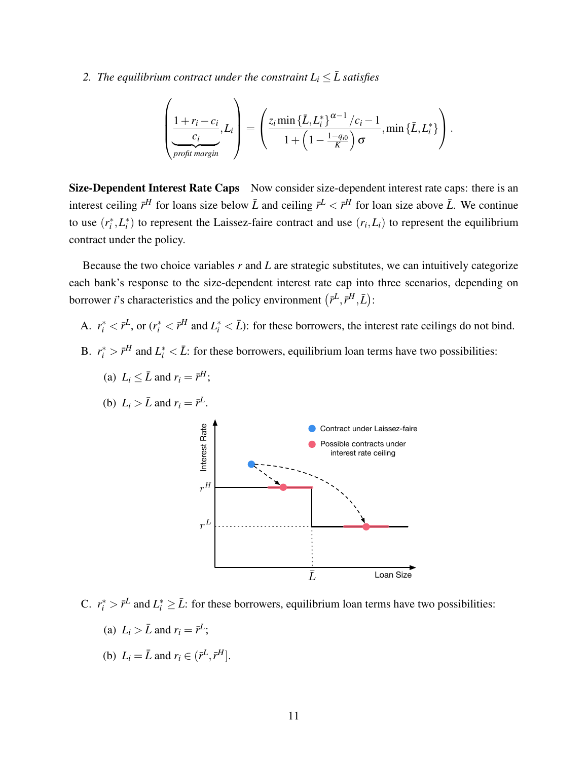### *2. The equilibrium contract under the constraint*  $L_i \leq \overline{L}$  satisfies

$$
\left(\frac{1+r_i-c_i}{\sum_{\substack{c_i\\ \text{profit margin}}}}\right)L_i=\left(\frac{z_i\min\{\bar{L},L_i^*\}^{\alpha-1}/c_i-1}{1+\left(1-\frac{1-q_{i0}}{K}\right)\sigma},\min\{\bar{L},L_i^*\}\right).
$$

Size-Dependent Interest Rate Caps Now consider size-dependent interest rate caps: there is an interest ceiling  $\bar{r}^H$  for loans size below  $\bar{L}$  and ceiling  $\bar{r}^L < \bar{r}^H$  for loan size above  $\bar{L}$ . We continue to use  $(r_i^*, L_i^*)$  to represent the Laissez-faire contract and use  $(r_i, L_i)$  to represent the equilibrium contract under the policy.

Because the two choice variables *r* and *L* are strategic substitutes, we can intuitively categorize each bank's response to the size-dependent interest rate cap into three scenarios, depending on borrower *i*'s characteristics and the policy environment  $(\bar{r}^L, \bar{r}^H, \bar{L})$ :

- A.  $r_i^* \lt \bar{r}^L$ , or  $(r_i^* \lt \bar{r}^H$  and  $L_i^* \lt \bar{L}$ : for these borrowers, the interest rate ceilings do not bind.
- B.  $r_i^* > \bar{r}^H$  and  $L_i^* < \bar{L}$ : for these borrowers, equilibrium loan terms have two possibilities:
	- (b)  $L_i > \bar{L}$  and  $r_i = \bar{r}^L$ . Interest Rate Interest Rate Possible contracts under interest rate ceiling  $r^H$  $r^L$  $\bar{L}$ Loan Size





- C.  $r_i^* > \bar{r}^L$  and  $L_i^* \geq \bar{L}$ : for these borrowers, equilibrium loan terms have two possibilities:
	- (a)  $L_i > \bar{L}$  and  $r_i = \bar{r}^L$ ;
	- (b)  $L_i = \bar{L}$  and  $r_i \in (\bar{r}^L, \bar{r}^H]$ .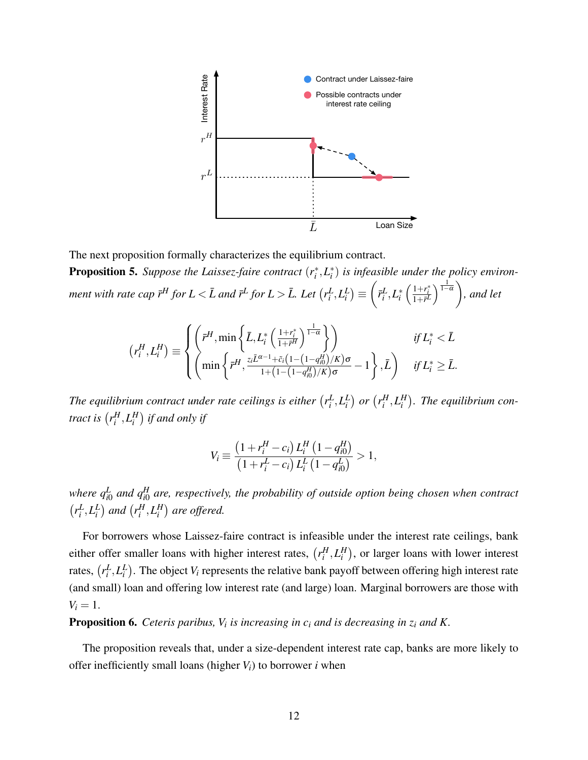

The next proposition formally characterizes the equilibrium contract. **Proposition 5.** Suppose the Laissez-faire contract  $(r_i^*, L_i^*)$  is infeasible under the policy environ*ment with rate cap*  $\bar{r}^H$  *for*  $L < \bar{L}$  *and*  $\bar{r}^L$  *for*  $L > \bar{L}$ *. Let*  $\left(r_i^L, L_i^L\right) \equiv$  $\sqrt{ }$  $\bar{r}_i^L, L_i^*\left(\frac{1+r_i^*}{1+\bar{r}^L}\right)^{\frac{1}{1-\alpha}}\bigg)$ *, and let*

$$
(r_i^H, L_i^H) \equiv \begin{cases} \left(\bar{r}^H, \min\left\{\bar{L}, L_i^*\left(\frac{1+r_i^*}{1+\bar{r}^H}\right)^{\frac{1}{1-\alpha}}\right\}\right) & \text{if } L_i^* < \bar{L} \\ \left(\min\left\{\bar{r}^H, \frac{z_i\bar{L}^{\alpha-1}+\tilde{c}_i\left(1-\left(1-q_{i0}^H\right)/K\right)\sigma}{1+\left(1-\left(1-q_{i0}^H\right)/K\right)\sigma} - 1\right\}, \bar{L}\right) & \text{if } L_i^* \ge \bar{L}. \end{cases}
$$

The equilibrium contract under rate ceilings is either  $(r_i^L, L_i^L)$  or  $(r_i^H, L_i^H)$ . The equilibrium con*tract is*  $\left(r_i^H, L_i^H\right)$  *if and only if* 

$$
V_i \equiv \frac{\left(1 + r_i^H - c_i\right)L_i^H\left(1 - q_{i0}^H\right)}{\left(1 + r_i^L - c_i\right)L_i^L\left(1 - q_{i0}^L\right)} > 1,
$$

where  $q_{i0}^L$  and  $q_{i0}^H$  are, respectively, the probability of outside option being chosen when contract  $(r_i^L, L_i^L)$  and  $(r_i^H, L_i^H)$  are offered.

For borrowers whose Laissez-faire contract is infeasible under the interest rate ceilings, bank either offer smaller loans with higher interest rates,  $(r_i^H, L_i^H)$ , or larger loans with lower interest rates,  $(r_i^L, L_i^L)$ . The object  $V_i$  represents the relative bank payoff between offering high interest rate (and small) loan and offering low interest rate (and large) loan. Marginal borrowers are those with  $V_i = 1$ .

Proposition 6. *Ceteris paribus, V<sup>i</sup> is increasing in c<sup>i</sup> and is decreasing in z<sup>i</sup> and K.*

The proposition reveals that, under a size-dependent interest rate cap, banks are more likely to offer inefficiently small loans (higher  $V_i$ ) to borrower *i* when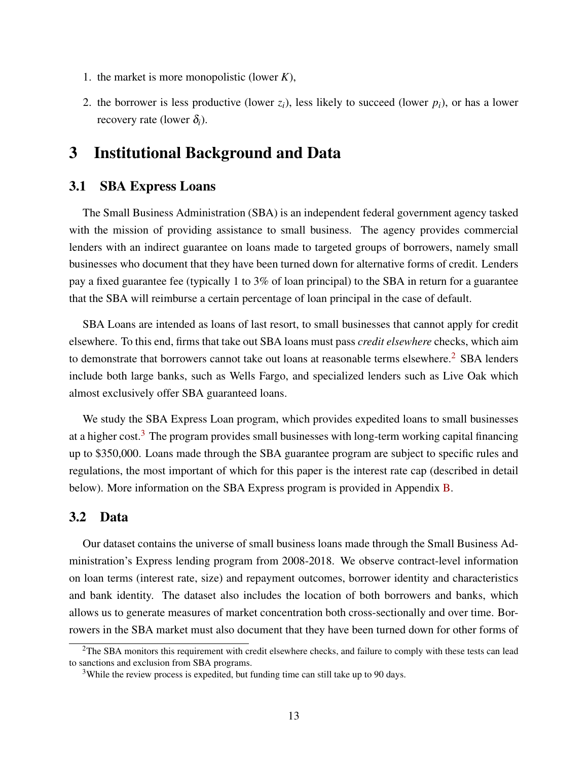- 1. the market is more monopolistic (lower *K*),
- 2. the borrower is less productive (lower  $z_i$ ), less likely to succeed (lower  $p_i$ ), or has a lower recovery rate (lower  $\delta_i$ ).

### 3 Institutional Background and Data

#### 3.1 SBA Express Loans

The Small Business Administration (SBA) is an independent federal government agency tasked with the mission of providing assistance to small business. The agency provides commercial lenders with an indirect guarantee on loans made to targeted groups of borrowers, namely small businesses who document that they have been turned down for alternative forms of credit. Lenders pay a fixed guarantee fee (typically 1 to 3% of loan principal) to the SBA in return for a guarantee that the SBA will reimburse a certain percentage of loan principal in the case of default.

SBA Loans are intended as loans of last resort, to small businesses that cannot apply for credit elsewhere. To this end, firms that take out SBA loans must pass *credit elsewhere* checks, which aim to demonstrate that borrowers cannot take out loans at reasonable terms elsewhere.<sup>[2](#page-12-0)</sup> SBA lenders include both large banks, such as Wells Fargo, and specialized lenders such as Live Oak which almost exclusively offer SBA guaranteed loans.

We study the SBA Express Loan program, which provides expedited loans to small businesses at a higher cost.<sup>[3](#page-12-1)</sup> The program provides small businesses with long-term working capital financing up to \$350,000. Loans made through the SBA guarantee program are subject to specific rules and regulations, the most important of which for this paper is the interest rate cap (described in detail below). More information on the SBA Express program is provided in Appendix [B.](#page-28-0)

#### 3.2 Data

Our dataset contains the universe of small business loans made through the Small Business Administration's Express lending program from 2008-2018. We observe contract-level information on loan terms (interest rate, size) and repayment outcomes, borrower identity and characteristics and bank identity. The dataset also includes the location of both borrowers and banks, which allows us to generate measures of market concentration both cross-sectionally and over time. Borrowers in the SBA market must also document that they have been turned down for other forms of

<span id="page-12-0"></span> $2$ The SBA monitors this requirement with credit elsewhere checks, and failure to comply with these tests can lead to sanctions and exclusion from SBA programs.

<span id="page-12-1"></span><sup>&</sup>lt;sup>3</sup>While the review process is expedited, but funding time can still take up to 90 days.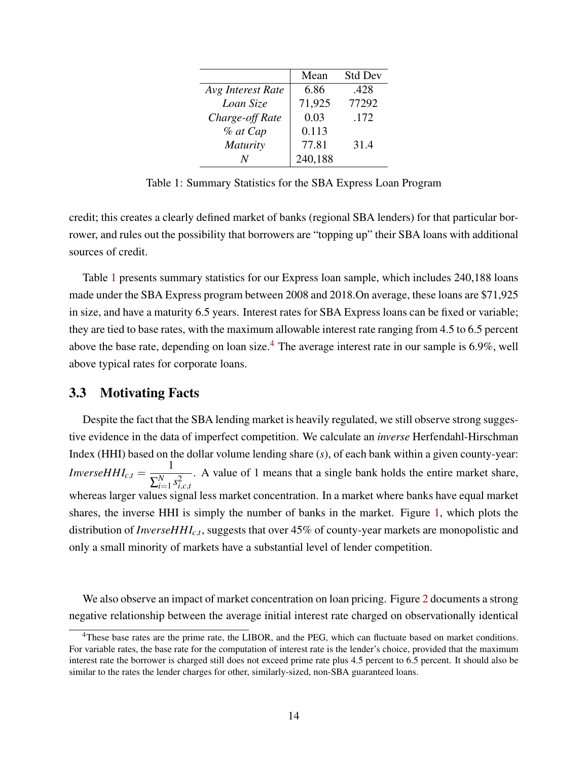<span id="page-13-0"></span>

|                   | Mean    | <b>Std Dev</b> |
|-------------------|---------|----------------|
| Avg Interest Rate | 6.86    | .428           |
| Loan Size         | 71,925  | 77292          |
| Charge-off Rate   | 0.03    | .172           |
| % at Cap          | 0.113   |                |
| Maturity          | 77.81   | 31.4           |
|                   | 240,188 |                |

Table 1: Summary Statistics for the SBA Express Loan Program

credit; this creates a clearly defined market of banks (regional SBA lenders) for that particular borrower, and rules out the possibility that borrowers are "topping up" their SBA loans with additional sources of credit.

Table [1](#page-13-0) presents summary statistics for our Express loan sample, which includes 240,188 loans made under the SBA Express program between 2008 and 2018.On average, these loans are \$71,925 in size, and have a maturity 6.5 years. Interest rates for SBA Express loans can be fixed or variable; they are tied to base rates, with the maximum allowable interest rate ranging from 4.5 to 6.5 percent above the base rate, depending on loan size.<sup>[4](#page-13-1)</sup> The average interest rate in our sample is 6.9%, well above typical rates for corporate loans.

#### 3.3 Motivating Facts

Despite the fact that the SBA lending market is heavily regulated, we still observe strong suggestive evidence in the data of imperfect competition. We calculate an *inverse* Herfendahl-Hirschman Index (HHI) based on the dollar volume lending share (*s*), of each bank within a given county-year: *InverseHHI*<sub>*c*,*t*</sub> =  $\frac{1}{\nabla^N}$  $\sum_{i=1}^N$  $\sum_{i=1}^{N} s_{i,c,t}^2$ . A value of 1 means that a single bank holds the entire market share, whereas larger values signal less market concentration. In a market where banks have equal market shares, the inverse HHI is simply the number of banks in the market. Figure [1,](#page-14-0) which plots the distribution of *InverseHHIc*,*<sup>t</sup>* , suggests that over 45% of county-year markets are monopolistic and only a small minority of markets have a substantial level of lender competition.

We also observe an impact of market concentration on loan pricing. Figure [2](#page-15-0) documents a strong negative relationship between the average initial interest rate charged on observationally identical

<span id="page-13-1"></span><sup>&</sup>lt;sup>4</sup>These base rates are the prime rate, the LIBOR, and the PEG, which can fluctuate based on market conditions. For variable rates, the base rate for the computation of interest rate is the lender's choice, provided that the maximum interest rate the borrower is charged still does not exceed prime rate plus 4.5 percent to 6.5 percent. It should also be similar to the rates the lender charges for other, similarly-sized, non-SBA guaranteed loans.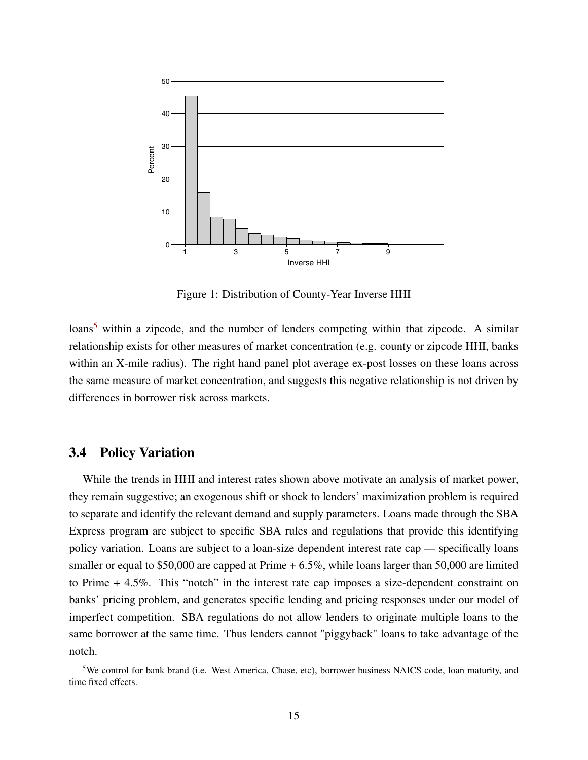<span id="page-14-0"></span>

Figure 1: Distribution of County-Year Inverse HHI

 $\lambda$ loans<sup>[5](#page-14-1)</sup> within a zipcode, and the number of lenders competing within that zipcode. A similar relationship exists for other measures of market concentration (e.g. county or zipcode HHI, banks within an X-mile radius). The right hand panel plot average ex-post losses on these loans across the same measure of market concentration, and suggests this negative relationship is not driven by differences in borrower risk across markets.

#### 3.4 Policy Variation

While the trends in HHI and interest rates shown above motivate an analysis of market power, they remain suggestive; an exogenous shift or shock to lenders' maximization problem is required to separate and identify the relevant demand and supply parameters. Loans made through the SBA Express program are subject to specific SBA rules and regulations that provide this identifying policy variation. Loans are subject to a loan-size dependent interest rate cap — specifically loans smaller or equal to \$50,000 are capped at Prime  $+ 6.5\%$ , while loans larger than 50,000 are limited to Prime + 4.5%. This "notch" in the interest rate cap imposes a size-dependent constraint on banks' pricing problem, and generates specific lending and pricing responses under our model of imperfect competition. SBA regulations do not allow lenders to originate multiple loans to the same borrower at the same time. Thus lenders cannot "piggyback" loans to take advantage of the notch.

<span id="page-14-1"></span><sup>5</sup>We control for bank brand (i.e. West America, Chase, etc), borrower business NAICS code, loan maturity, and time fixed effects.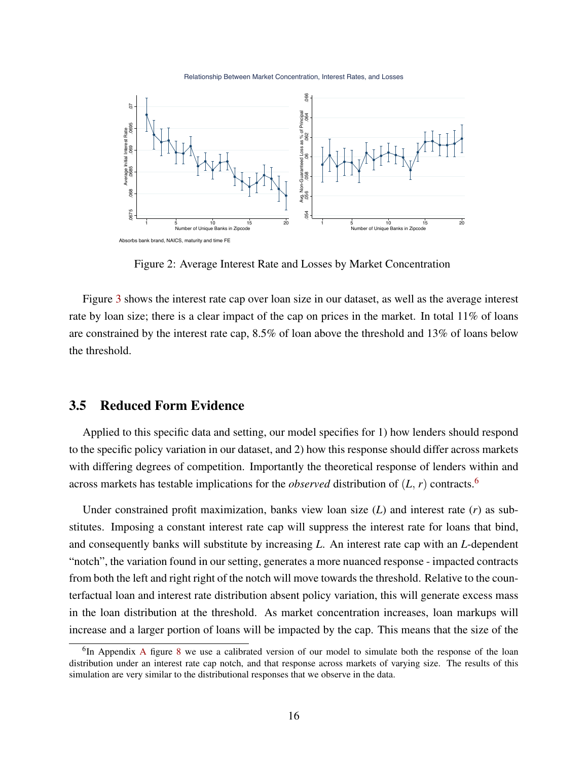Relationship Between Market Concentration, Interest Rates, and Losses

<span id="page-15-0"></span>

Figure 2: Average Interest Rate and Losses by Market Concentration

Figure [3](#page-16-0) shows the interest rate cap over loan size in our dataset, as well as the average interest rate by loan size; there is a clear impact of the cap on prices in the market. In total 11% of loans are constrained by the interest rate cap, 8.5% of loan above the threshold and 13% of loans below the threshold.

#### 3.5 Reduced Form Evidence

Applied to this specific data and setting, our model specifies for 1) how lenders should respond to the specific policy variation in our dataset, and 2) how this response should differ across markets with differing degrees of competition. Importantly the theoretical response of lenders within and across markets has testable implications for the *observed* distribution of  $(L, r)$  contracts.<sup>[6](#page-15-1)</sup>

Under constrained profit maximization, banks view loan size (*L*) and interest rate (*r*) as substitutes. Imposing a constant interest rate cap will suppress the interest rate for loans that bind, and consequently banks will substitute by increasing *L*. An interest rate cap with an *L*-dependent "notch", the variation found in our setting, generates a more nuanced response - impacted contracts from both the left and right right of the notch will move towards the threshold. Relative to the counterfactual loan and interest rate distribution absent policy variation, this will generate excess mass in the loan distribution at the threshold. As market concentration increases, loan markups will increase and a larger portion of loans will be impacted by the cap. This means that the size of the

<span id="page-15-1"></span><sup>&</sup>lt;sup>6</sup>In [A](#page-27-0)ppendix A figure [8](#page-27-1) we use a calibrated version of our model to simulate both the response of the loan distribution under an interest rate cap notch, and that response across markets of varying size. The results of this simulation are very similar to the distributional responses that we observe in the data.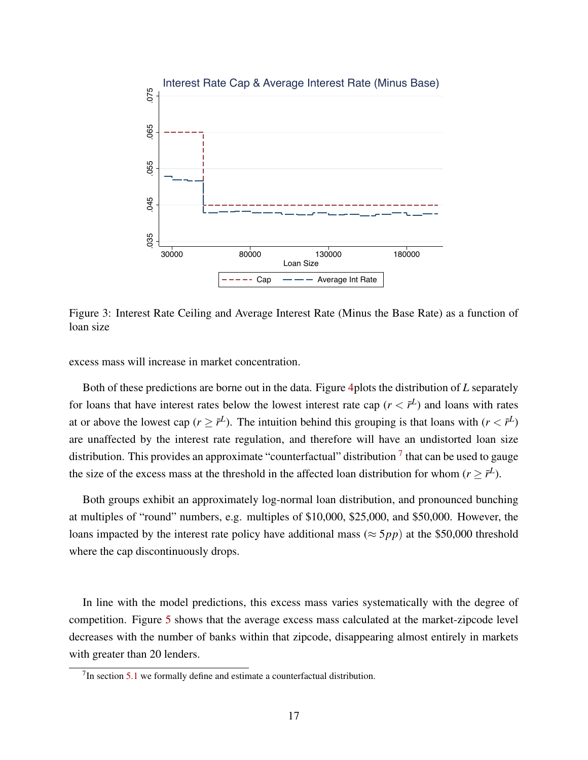<span id="page-16-0"></span>

Figure 3: Interest Rate Ceiling and Average Interest Rate (Minus the Base Rate) as a function of loan size

excess mass will increase in market concentration.

Both of these predictions are borne out in the data. Figure [4p](#page-17-0)lots the distribution of *L* separately for loans that have interest rates below the lowest interest rate cap  $(r < \bar{r}^L)$  and loans with rates at or above the lowest cap ( $r \geq \bar{r}^L$ ). The intuition behind this grouping is that loans with ( $r < \bar{r}^L$ ) are unaffected by the interest rate regulation, and therefore will have an undistorted loan size distribution. This provides an approximate "counterfactual" distribution  $\frac{1}{1}$  that can be used to gauge the size of the excess mass at the threshold in the affected loan distribution for whom ( $r \geq \bar{r}^L$ ).

Both groups exhibit an approximately log-normal loan distribution, and pronounced bunching at multiples of "round" numbers, e.g. multiples of \$10,000, \$25,000, and \$50,000. However, the loans impacted by the interest rate policy have additional mass ( $\approx 5pp$ ) at the \$50,000 threshold where the cap discontinuously drops.

In line with the model predictions, this excess mass varies systematically with the degree of competition. Figure [5](#page-17-1) shows that the average excess mass calculated at the market-zipcode level decreases with the number of banks within that zipcode, disappearing almost entirely in markets with greater than 20 lenders.

<span id="page-16-1"></span> $7$ In section [5.1](#page-20-0) we formally define and estimate a counterfactual distribution.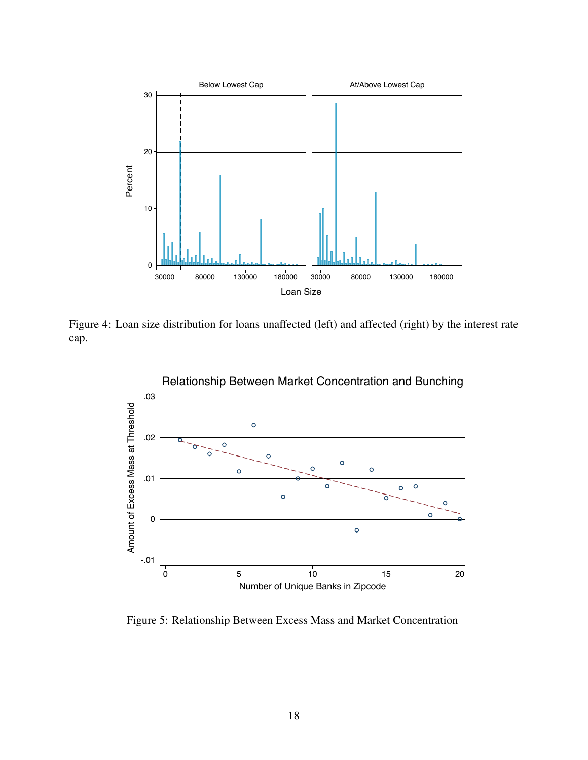<span id="page-17-0"></span>

<span id="page-17-1"></span>Figure 4: Loan size distribution for loans unaffected (left) and affected (right) by the interest rate cap.



Figure 5: Relationship Between Excess Mass and Market Concentration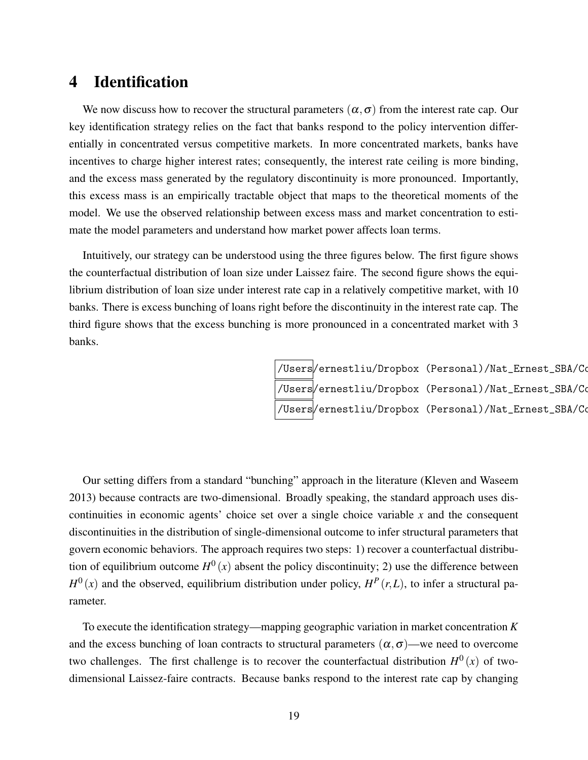## 4 Identification

We now discuss how to recover the structural parameters  $(\alpha, \sigma)$  from the interest rate cap. Our key identification strategy relies on the fact that banks respond to the policy intervention differentially in concentrated versus competitive markets. In more concentrated markets, banks have incentives to charge higher interest rates; consequently, the interest rate ceiling is more binding, and the excess mass generated by the regulatory discontinuity is more pronounced. Importantly, this excess mass is an empirically tractable object that maps to the theoretical moments of the model. We use the observed relationship between excess mass and market concentration to estimate the model parameters and understand how market power affects loan terms.

Intuitively, our strategy can be understood using the three figures below. The first figure shows the counterfactual distribution of loan size under Laissez faire. The second figure shows the equilibrium distribution of loan size under interest rate cap in a relatively competitive market, with 10 banks. There is excess bunching of loans right before the discontinuity in the interest rate cap. The third figure shows that the excess bunching is more pronounced in a concentrated market with 3 banks.

> /Users/ernestliu/Dropbox (Personal)/Nat\_Ernest\_SBA/Co /Users $\hspace{-.1cm}/$ ernestliu/Dropbox (Personal)/Nat\_Ernest\_SBA/Co /Users $\hspace{-.1cm}/$ ernestliu/Dropbox (Personal)/Nat\_Ernest\_SBA/Co

Our setting differs from a standard "bunching" approach in the literature (Kleven and Waseem 2013) because contracts are two-dimensional. Broadly speaking, the standard approach uses discontinuities in economic agents' choice set over a single choice variable *x* and the consequent discontinuities in the distribution of single-dimensional outcome to infer structural parameters that govern economic behaviors. The approach requires two steps: 1) recover a counterfactual distribution of equilibrium outcome  $H^0(x)$  absent the policy discontinuity; 2) use the difference between  $H^{0}(x)$  and the observed, equilibrium distribution under policy,  $H^{P}(r,L)$ , to infer a structural parameter.

To execute the identification strategy—mapping geographic variation in market concentration *K* and the excess bunching of loan contracts to structural parameters  $(\alpha, \sigma)$ —we need to overcome two challenges. The first challenge is to recover the counterfactual distribution  $H^0(x)$  of twodimensional Laissez-faire contracts. Because banks respond to the interest rate cap by changing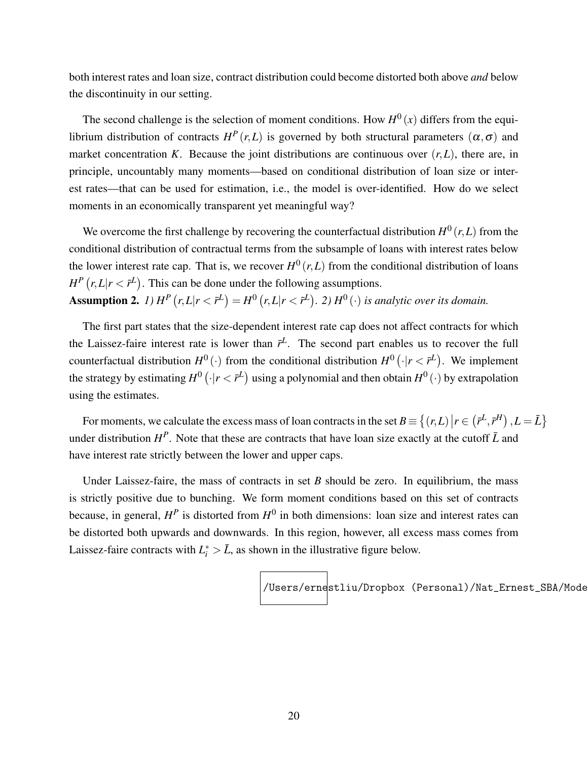both interest rates and loan size, contract distribution could become distorted both above *and* below the discontinuity in our setting.

The second challenge is the selection of moment conditions. How  $H^0(x)$  differs from the equilibrium distribution of contracts  $H^P(r,L)$  is governed by both structural parameters  $(\alpha,\sigma)$  and market concentration *K*. Because the joint distributions are continuous over  $(r, L)$ , there are, in principle, uncountably many moments—based on conditional distribution of loan size or interest rates—that can be used for estimation, i.e., the model is over-identified. How do we select moments in an economically transparent yet meaningful way?

We overcome the first challenge by recovering the counterfactual distribution  $H^0(r,L)$  from the conditional distribution of contractual terms from the subsample of loans with interest rates below the lower interest rate cap. That is, we recover  $H^0(r,L)$  from the conditional distribution of loans  $H^P(r, L | r < \bar{r}^L)$ . This can be done under the following assumptions. **Assumption 2.** *1*)  $H^P(r, L|r < \bar{r}^L) = H^0(r, L|r < \bar{r}^L)$ . 2)  $H^0(r)$  is analytic over its domain.

The first part states that the size-dependent interest rate cap does not affect contracts for which the Laissez-faire interest rate is lower than  $\bar{r}^L$ . The second part enables us to recover the full counterfactual distribution  $H^0(\cdot)$  from the conditional distribution  $H^0(\cdot|r < \bar{r}^L)$ . We implement the strategy by estimating  $H^0\left(\cdot\vert r<\bar{r}^{L}\right)$  using a polynomial and then obtain  $H^0\left(\cdot\right)$  by extrapolation using the estimates.

For moments, we calculate the excess mass of loan contracts in the set  $B \equiv \{(r, L) | r \in (r^L, r^H), L = \bar{L}\}$ under distribution  $H^P$ . Note that these are contracts that have loan size exactly at the cutoff  $\bar{L}$  and have interest rate strictly between the lower and upper caps.

Under Laissez-faire, the mass of contracts in set  $B$  should be zero. In equilibrium, the mass is strictly positive due to bunching. We form moment conditions based on this set of contracts because, in general,  $H^P$  is distorted from  $H^0$  in both dimensions: loan size and interest rates can be distorted both upwards and downwards. In this region, however, all excess mass comes from Laissez-faire contracts with  $L_i^* > \bar{L}$ , as shown in the illustrative figure below.

/Users/ernestliu/Dropbox (Personal)/Nat\_Ernest\_SBA/Mode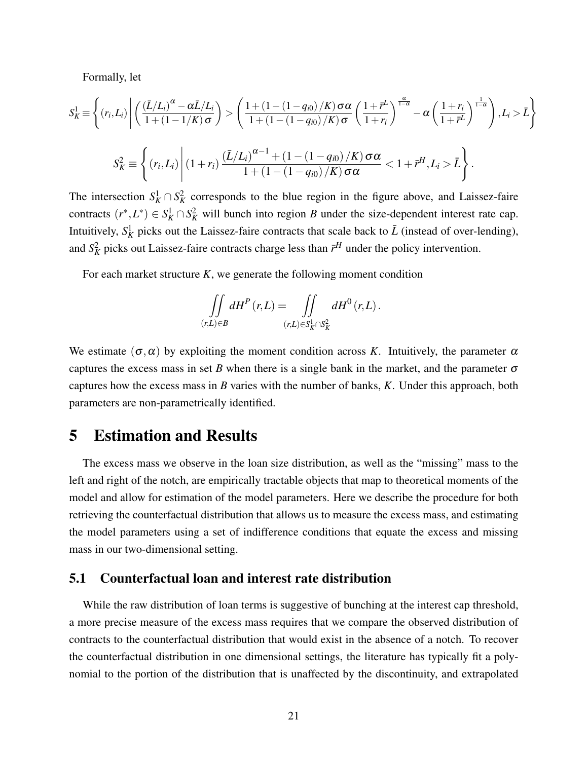Formally, let

$$
S_K^1 \equiv \left\{ (r_i, L_i) \middle| \left( \frac{(\bar{L}/L_i)^{\alpha} - \alpha \bar{L}/L_i}{1 + (1 - 1/K)\sigma} \right) > \left( \frac{1 + (1 - (1 - q_{i0})/K) \sigma \alpha}{1 + (1 - (1 - q_{i0})/K) \sigma} \left( \frac{1 + \bar{r}^L}{1 + r_i} \right)^{\frac{\alpha}{1 - \alpha}} - \alpha \left( \frac{1 + r_i}{1 + \bar{r}^L} \right)^{\frac{1}{1 - \alpha}} \right), L_i > \bar{L} \right\}
$$

$$
S_K^2 \equiv \left\{ (r_i, L_i) \middle| (1 + r_i) \frac{(\bar{L}/L_i)^{\alpha - 1} + (1 - (1 - q_{i0})/K) \sigma \alpha}{1 + (1 - (1 - q_{i0})/K) \sigma \alpha} < 1 + \bar{r}^H, L_i > \bar{L} \right\}.
$$

The intersection  $S_K^1 \cap S_K^2$  corresponds to the blue region in the figure above, and Laissez-faire contracts  $(r^*, L^*) \in S_K^1 \cap S_K^2$  will bunch into region *B* under the size-dependent interest rate cap. Intuitively,  $S_K^1$  picks out the Laissez-faire contracts that scale back to  $\bar{L}$  (instead of over-lending), and  $S_K^2$  picks out Laissez-faire contracts charge less than  $\bar{r}^H$  under the policy intervention.

For each market structure *K*, we generate the following moment condition

$$
\iint\limits_{(r,L)\in B}dH^P(r,L)=\iint\limits_{(r,L)\in S^1_K\cap S^2_K}dH^0(r,L).
$$

We estimate  $(\sigma, \alpha)$  by exploiting the moment condition across *K*. Intuitively, the parameter  $\alpha$ captures the excess mass in set *B* when there is a single bank in the market, and the parameter  $\sigma$ captures how the excess mass in *B* varies with the number of banks, *K*. Under this approach, both parameters are non-parametrically identified.

## 5 Estimation and Results

The excess mass we observe in the loan size distribution, as well as the "missing" mass to the left and right of the notch, are empirically tractable objects that map to theoretical moments of the model and allow for estimation of the model parameters. Here we describe the procedure for both retrieving the counterfactual distribution that allows us to measure the excess mass, and estimating the model parameters using a set of indifference conditions that equate the excess and missing mass in our two-dimensional setting.

#### <span id="page-20-0"></span>5.1 Counterfactual loan and interest rate distribution

While the raw distribution of loan terms is suggestive of bunching at the interest cap threshold, a more precise measure of the excess mass requires that we compare the observed distribution of contracts to the counterfactual distribution that would exist in the absence of a notch. To recover the counterfactual distribution in one dimensional settings, the literature has typically fit a polynomial to the portion of the distribution that is unaffected by the discontinuity, and extrapolated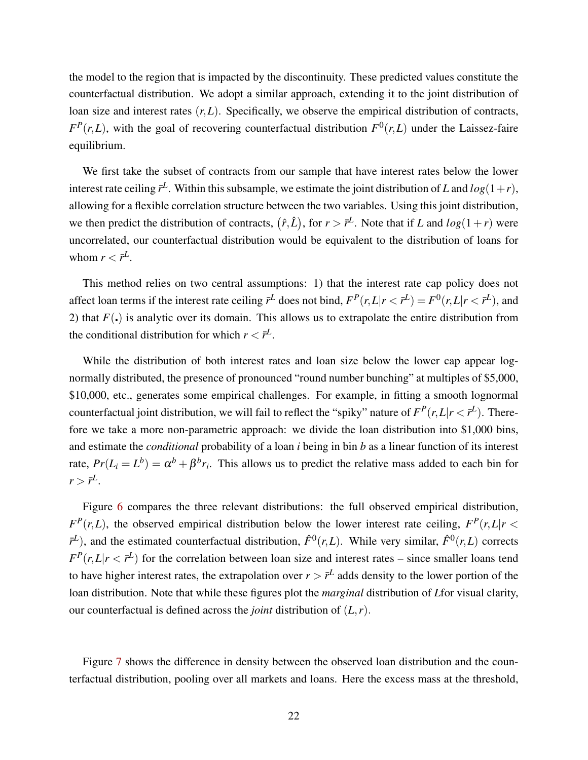the model to the region that is impacted by the discontinuity. These predicted values constitute the counterfactual distribution. We adopt a similar approach, extending it to the joint distribution of loan size and interest rates  $(r, L)$ . Specifically, we observe the empirical distribution of contracts,  $F^P(r, L)$ , with the goal of recovering counterfactual distribution  $F^0(r, L)$  under the Laissez-faire equilibrium.

We first take the subset of contracts from our sample that have interest rates below the lower interest rate ceiling  $\bar{r}^L$ . Within this subsample, we estimate the joint distribution of *L* and  $log(1+r)$ , allowing for a flexible correlation structure between the two variables. Using this joint distribution, we then predict the distribution of contracts,  $(\hat{r}, \hat{L})$ , for  $r > \bar{r}^L$ . Note that if *L* and  $log(1+r)$  were uncorrelated, our counterfactual distribution would be equivalent to the distribution of loans for whom  $r < \bar{r}^L$ .

This method relies on two central assumptions: 1) that the interest rate cap policy does not affect loan terms if the interest rate ceiling  $\bar{r}^L$  does not bind,  $F^P(r, L|r < \bar{r}^L) = F^0(r, L|r < \bar{r}^L)$ , and 2) that  $F(.)$  is analytic over its domain. This allows us to extrapolate the entire distribution from the conditional distribution for which  $r < \bar{r}^L$ .

While the distribution of both interest rates and loan size below the lower cap appear lognormally distributed, the presence of pronounced "round number bunching" at multiples of \$5,000, \$10,000, etc., generates some empirical challenges. For example, in fitting a smooth lognormal counterfactual joint distribution, we will fail to reflect the "spiky" nature of  $F^P(r, L | r < \bar{r}^L)$ . Therefore we take a more non-parametric approach: we divide the loan distribution into \$1,000 bins, and estimate the *conditional* probability of a loan *i* being in bin *b* as a linear function of its interest rate,  $Pr(L_i = L^b) = \alpha^b + \beta^b r_i$ . This allows us to predict the relative mass added to each bin for  $r > \bar{r}^L$ .

Figure [6](#page-22-0) compares the three relevant distributions: the full observed empirical distribution,  $F^P(r, L)$ , the observed empirical distribution below the lower interest rate ceiling,  $F^P(r, L|r <$  $F^L$ ), and the estimated counterfactual distribution,  $\hat{F}^0(r,L)$ . While very similar,  $\hat{F}^0(r,L)$  corrects  $F^P(r, L | r \lt \bar{r}^L)$  for the correlation between loan size and interest rates – since smaller loans tend to have higher interest rates, the extrapolation over  $r > \bar{r}^L$  adds density to the lower portion of the loan distribution. Note that while these figures plot the *marginal* distribution of *L*for visual clarity, our counterfactual is defined across the *joint* distribution of (*L*,*r*).

Figure [7](#page-23-0) shows the difference in density between the observed loan distribution and the counterfactual distribution, pooling over all markets and loans. Here the excess mass at the threshold,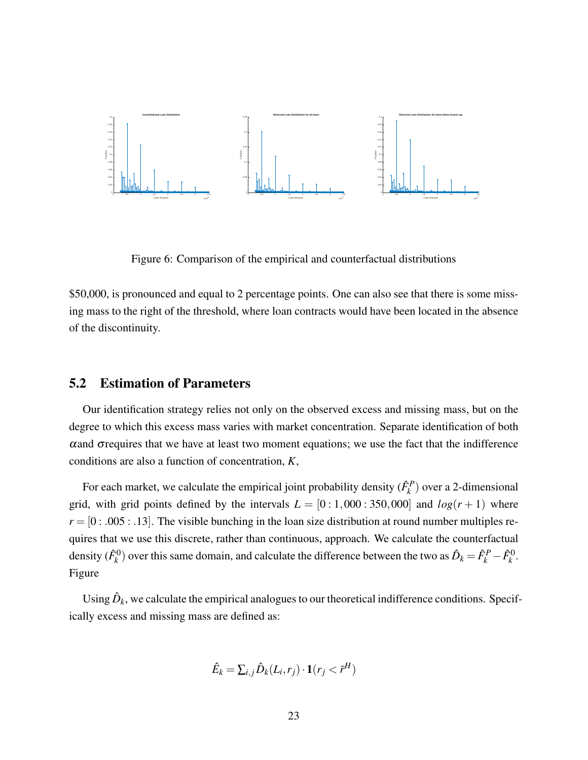<span id="page-22-0"></span>

Figure 6: Comparison of the empirical and counterfactual distributions

\$50,000, is pronounced and equal to 2 percentage points. One can also see that there is some missing mass to the right of the threshold, where loan contracts would have been located in the absence of the discontinuity.

#### 5.2 Estimation of Parameters

Our identification strategy relies not only on the observed excess and missing mass, but on the degree to which this excess mass varies with market concentration. Separate identification of both  $\alpha$  and  $\sigma$  requires that we have at least two moment equations; we use the fact that the indifference conditions are also a function of concentration, *K*,

For each market, we calculate the empirical joint probability density  $(\hat{F}_k^P)$  over a 2-dimensional grid, with grid points defined by the intervals  $L = [0:1,000:350,000]$  and  $log(r + 1)$  where  $r = [0:005:005:00]$ . The visible bunching in the loan size distribution at round number multiples requires that we use this discrete, rather than continuous, approach. We calculate the counterfactual density  $(\hat{F}_k^0)$  over this same domain, and calculate the difference between the two as  $\hat{D}_k = \hat{F}_k^P - \hat{F}_k^0$ . Figure

Using  $\hat{D}_k$ , we calculate the empirical analogues to our theoretical indifference conditions. Specifically excess and missing mass are defined as:

$$
\hat{E}_k = \sum_{i,j} \hat{D}_k(L_i, r_j) \cdot \mathbf{1}(r_j < \bar{r}^H)
$$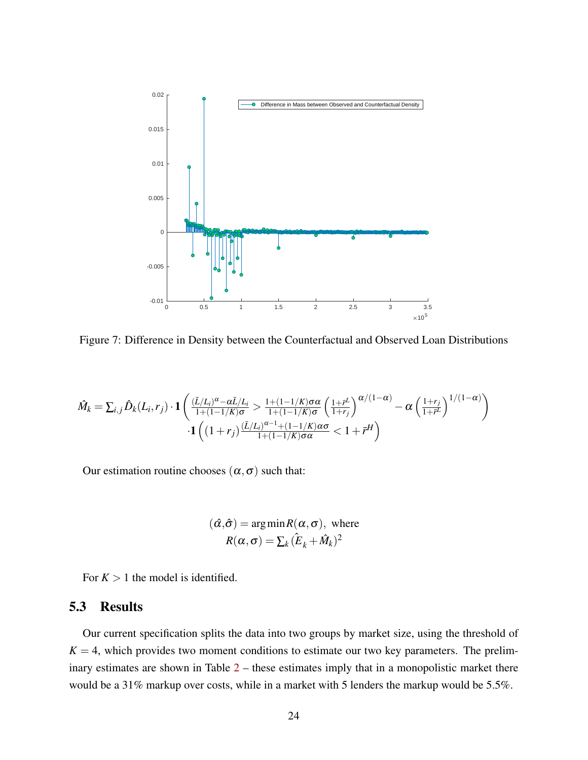<span id="page-23-0"></span>

Figure 7: Difference in Density between the Counterfactual and Observed Loan Distributions

$$
\hat{M}_k = \sum_{i,j} \hat{D}_k(L_i, r_j) \cdot \mathbf{1} \left( \frac{(\bar{L}/L_i)^{\alpha} - \alpha \bar{L}/L_i}{1 + (1 - 1/K)\sigma} > \frac{1 + (1 - 1/K)\sigma\alpha}{1 + (1 - 1/K)\sigma} \left( \frac{1 + \bar{r}^L}{1 + r_j} \right)^{\alpha/(1 - \alpha)} - \alpha \left( \frac{1 + r_j}{1 + \bar{r}^L} \right)^{1/(1 - \alpha)} \right) \cdot \mathbf{1} \left( (1 + r_j) \frac{(\bar{L}/L_i)^{\alpha - 1} + (1 - 1/K)\sigma\alpha}{1 + (1 - 1/K)\sigma\alpha} < 1 + \bar{r}^H \right)
$$

Our estimation routine chooses  $(\alpha, \sigma)$  such that:

$$
(\hat{\alpha}, \hat{\sigma}) = \arg \min R(\alpha, \sigma), \text{ where}
$$
  
 $R(\alpha, \sigma) = \sum_k (\hat{E}_k + \hat{M}_k)^2$ 

For  $K > 1$  the model is identified.

#### 5.3 Results

Our current specification splits the data into two groups by market size, using the threshold of  $K = 4$ , which provides two moment conditions to estimate our two key parameters. The preliminary estimates are shown in Table [2](#page-24-0) – these estimates imply that in a monopolistic market there would be a 31% markup over costs, while in a market with 5 lenders the markup would be 5.5%.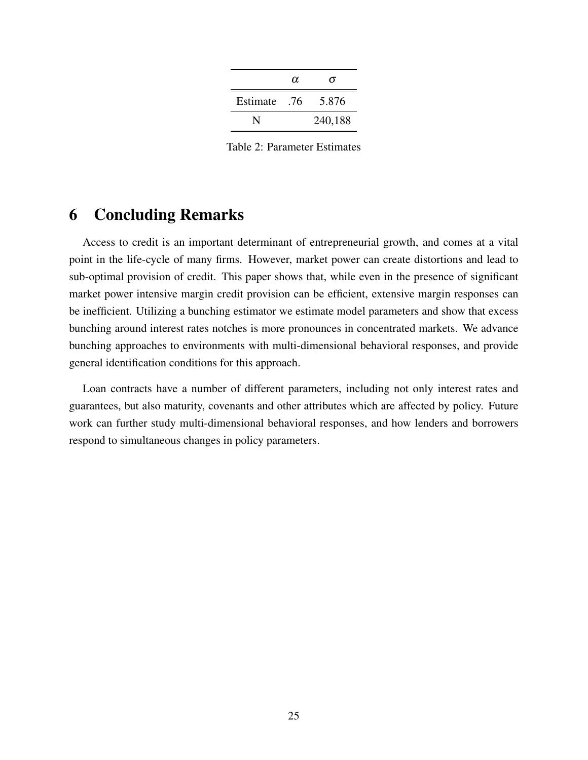|          | $\alpha$ | σ       |
|----------|----------|---------|
| Estimate | .76      | 5.876   |
|          |          | 240,188 |

Table 2: Parameter Estimates

## <span id="page-24-0"></span>6 Concluding Remarks

Access to credit is an important determinant of entrepreneurial growth, and comes at a vital point in the life-cycle of many firms. However, market power can create distortions and lead to sub-optimal provision of credit. This paper shows that, while even in the presence of significant market power intensive margin credit provision can be efficient, extensive margin responses can be inefficient. Utilizing a bunching estimator we estimate model parameters and show that excess bunching around interest rates notches is more pronounces in concentrated markets. We advance bunching approaches to environments with multi-dimensional behavioral responses, and provide general identification conditions for this approach.

Loan contracts have a number of different parameters, including not only interest rates and guarantees, but also maturity, covenants and other attributes which are affected by policy. Future work can further study multi-dimensional behavioral responses, and how lenders and borrowers respond to simultaneous changes in policy parameters.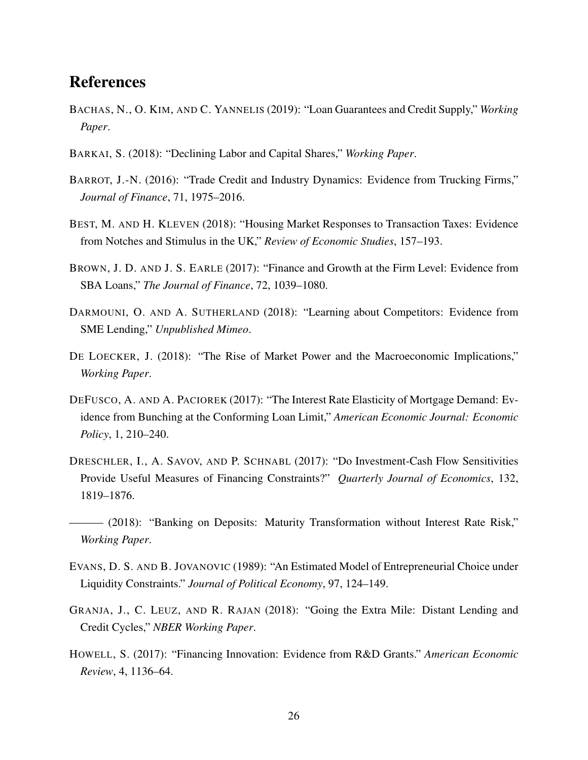## References

- <span id="page-25-7"></span>BACHAS, N., O. KIM, AND C. YANNELIS (2019): "Loan Guarantees and Credit Supply," *Working Paper*.
- <span id="page-25-2"></span>BARKAI, S. (2018): "Declining Labor and Capital Shares," *Working Paper*.
- <span id="page-25-6"></span>BARROT, J.-N. (2016): "Trade Credit and Industry Dynamics: Evidence from Trucking Firms," *Journal of Finance*, 71, 1975–2016.
- <span id="page-25-1"></span>BEST, M. AND H. KLEVEN (2018): "Housing Market Responses to Transaction Taxes: Evidence from Notches and Stimulus in the UK," *Review of Economic Studies*, 157–193.
- <span id="page-25-8"></span>BROWN, J. D. AND J. S. EARLE (2017): "Finance and Growth at the Firm Level: Evidence from SBA Loans," *The Journal of Finance*, 72, 1039–1080.
- <span id="page-25-9"></span>DARMOUNI, O. AND A. SUTHERLAND (2018): "Learning about Competitors: Evidence from SME Lending," *Unpublished Mimeo*.
- <span id="page-25-3"></span>DE LOECKER, J. (2018): "The Rise of Market Power and the Macroeconomic Implications," *Working Paper*.
- <span id="page-25-5"></span>DEFUSCO, A. AND A. PACIOREK (2017): "The Interest Rate Elasticity of Mortgage Demand: Evidence from Bunching at the Conforming Loan Limit," *American Economic Journal: Economic Policy*, 1, 210–240.
- <span id="page-25-0"></span>DRESCHLER, I., A. SAVOV, AND P. SCHNABL (2017): "Do Investment-Cash Flow Sensitivities Provide Useful Measures of Financing Constraints?" *Quarterly Journal of Economics*, 132, 1819–1876.
- <span id="page-25-4"></span>——— (2018): "Banking on Deposits: Maturity Transformation without Interest Rate Risk," *Working Paper*.
- <span id="page-25-10"></span>EVANS, D. S. AND B. JOVANOVIC (1989): "An Estimated Model of Entrepreneurial Choice under Liquidity Constraints." *Journal of Political Economy*, 97, 124–149.
- <span id="page-25-11"></span>GRANJA, J., C. LEUZ, AND R. RAJAN (2018): "Going the Extra Mile: Distant Lending and Credit Cycles," *NBER Working Paper*.
- <span id="page-25-12"></span>HOWELL, S. (2017): "Financing Innovation: Evidence from R&D Grants." *American Economic Review*, 4, 1136–64.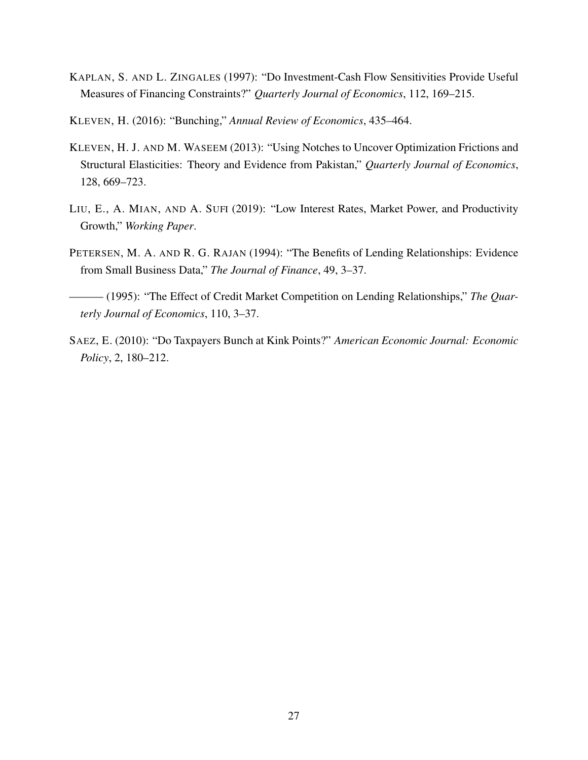- <span id="page-26-0"></span>KAPLAN, S. AND L. ZINGALES (1997): "Do Investment-Cash Flow Sensitivities Provide Useful Measures of Financing Constraints?" *Quarterly Journal of Economics*, 112, 169–215.
- <span id="page-26-2"></span>KLEVEN, H. (2016): "Bunching," *Annual Review of Economics*, 435–464.
- <span id="page-26-3"></span>KLEVEN, H. J. AND M. WASEEM (2013): "Using Notches to Uncover Optimization Frictions and Structural Elasticities: Theory and Evidence from Pakistan," *Quarterly Journal of Economics*, 128, 669–723.
- <span id="page-26-5"></span>LIU, E., A. MIAN, AND A. SUFI (2019): "Low Interest Rates, Market Power, and Productivity Growth," *Working Paper*.
- <span id="page-26-1"></span>PETERSEN, M. A. AND R. G. RAJAN (1994): "The Benefits of Lending Relationships: Evidence from Small Business Data," *The Journal of Finance*, 49, 3–37.
- <span id="page-26-6"></span> $-$  (1995): "The Effect of Credit Market Competition on Lending Relationships," The Quar*terly Journal of Economics*, 110, 3–37.
- <span id="page-26-4"></span>SAEZ, E. (2010): "Do Taxpayers Bunch at Kink Points?" *American Economic Journal: Economic Policy*, 2, 180–212.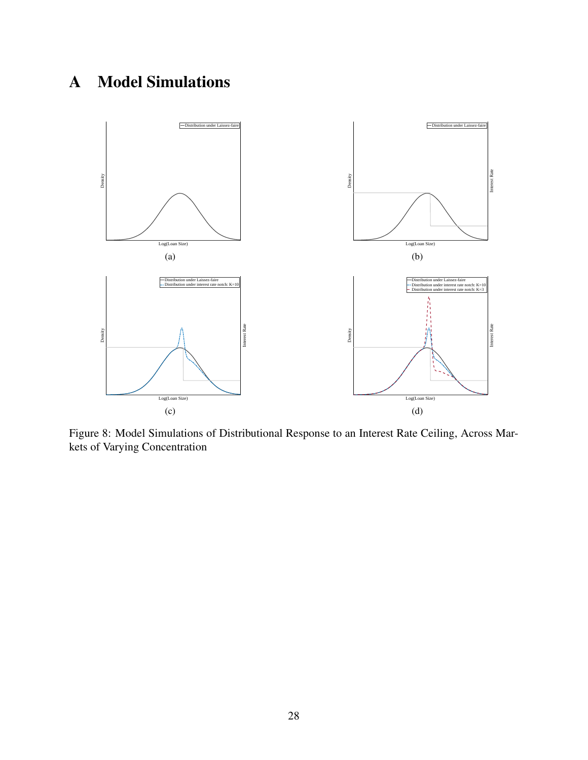# <span id="page-27-0"></span>A Model Simulations

<span id="page-27-1"></span>

Figure 8: Model Simulations of Distributional Response to an Interest Rate Ceiling, Across Markets of Varying Concentration